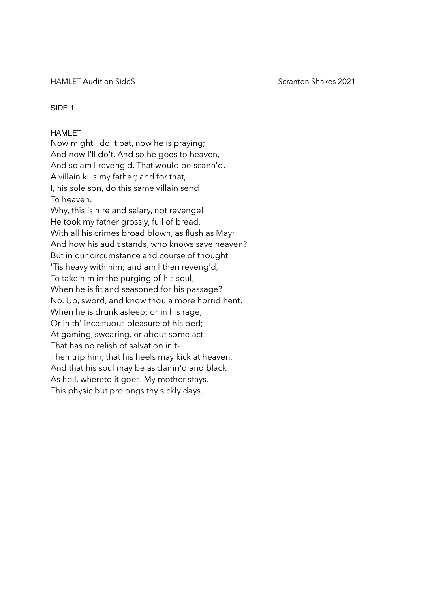HAMLET Audition SideS Scranton Shakes 2021

# SIDE 1

# HAMLET

Now might I do it pat, now he is praying; And now I'll do't. And so he goes to heaven, And so am I reveng'd. That would be scann'd. A villain kills my father; and for that, I, his sole son, do this same villain send To heaven. Why, this is hire and salary, not revenge! He took my father grossly, full of bread, With all his crimes broad blown, as flush as May; And how his audit stands, who knows save heaven? But in our circumstance and course of thought, 'Tis heavy with him; and am I then reveng'd, To take him in the purging of his soul, When he is fit and seasoned for his passage? No. Up, sword, and know thou a more horrid hent. When he is drunk asleep; or in his rage; Or in th' incestuous pleasure of his bed; At gaming, swearing, or about some act That has no relish of salvation in't-Then trip him, that his heels may kick at heaven, And that his soul may be as damn'd and black As hell, whereto it goes. My mother stays. This physic but prolongs thy sickly days.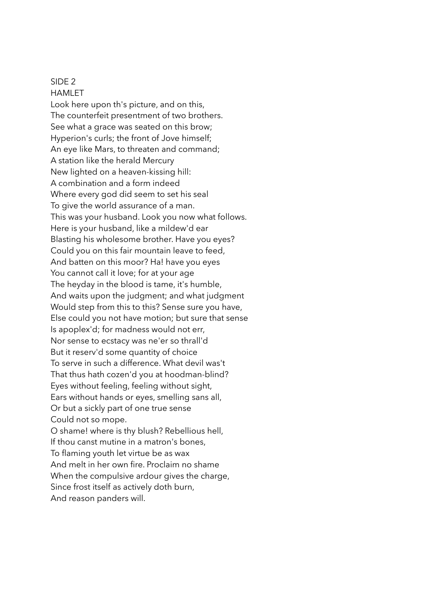# SIDE 2

**HAMI FT** 

Look here upon th's picture, and on this, The counterfeit presentment of two brothers. See what a grace was seated on this brow; Hyperion's curls; the front of Jove himself; An eye like Mars, to threaten and command; A station like the herald Mercury New lighted on a heaven-kissing hill: A combination and a form indeed Where every god did seem to set his seal To give the world assurance of a man. This was your husband. Look you now what follows. Here is your husband, like a mildew'd ear Blasting his wholesome brother. Have you eyes? Could you on this fair mountain leave to feed, And batten on this moor? Ha! have you eyes You cannot call it love; for at your age The heyday in the blood is tame, it's humble, And waits upon the judgment; and what judgment Would step from this to this? Sense sure you have, Else could you not have motion; but sure that sense Is apoplex'd; for madness would not err, Nor sense to ecstacy was ne'er so thrall'd But it reserv'd some quantity of choice To serve in such a difference. What devil was't That thus hath cozen'd you at hoodman-blind? Eyes without feeling, feeling without sight, Ears without hands or eyes, smelling sans all, Or but a sickly part of one true sense Could not so mope. O shame! where is thy blush? Rebellious hell, If thou canst mutine in a matron's bones, To flaming youth let virtue be as wax And melt in her own fire. Proclaim no shame When the compulsive ardour gives the charge,

Since frost itself as actively doth burn,

And reason panders will.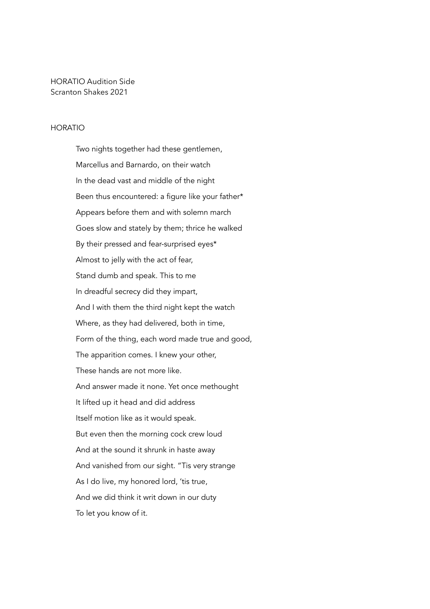HORATIO Audition Side Scranton Shakes 2021

## HORATIO

Two nights together had these gentlemen, Marcellus and Barnardo, on their watch In the dead vast and middle of the night Been thus encountered: a figure like your father\* Appears before them and with solemn march Goes slow and stately by them; thrice he walked By their pressed and fear-surprised eyes\* Almost to jelly with the act of fear, Stand dumb and speak. This to me In dreadful secrecy did they impart, And I with them the third night kept the watch Where, as they had delivered, both in time, Form of the thing, each word made true and good, The apparition comes. I knew your other, These hands are not more like. And answer made it none. Yet once methought It lifted up it head and did address Itself motion like as it would speak. But even then the morning cock crew loud And at the sound it shrunk in haste away And vanished from our sight. "Tis very strange As I do live, my honored lord, 'tis true, And we did think it writ down in our duty To let you know of it.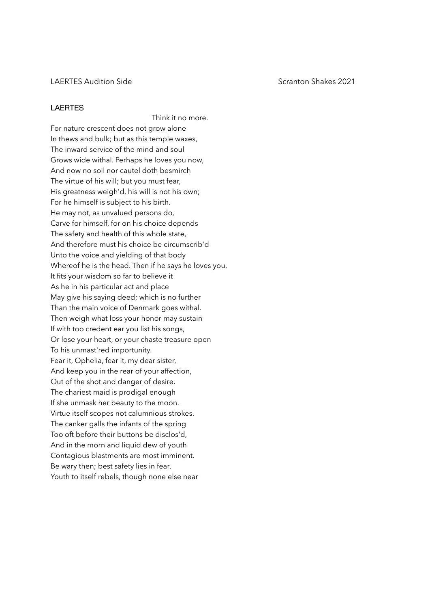## LAERTES Audition Side Scranton Shakes 2021

## LAERTES

Think it no more. For nature crescent does not grow alone In thews and bulk; but as this temple waxes, The inward service of the mind and soul Grows wide withal. Perhaps he loves you now, And now no soil nor cautel doth besmirch The virtue of his will; but you must fear, His greatness weigh'd, his will is not his own; For he himself is subject to his birth. He may not, as unvalued persons do, Carve for himself, for on his choice depends The safety and health of this whole state, And therefore must his choice be circumscrib'd Unto the voice and yielding of that body Whereof he is the head. Then if he says he loves you, It fits your wisdom so far to believe it As he in his particular act and place May give his saying deed; which is no further Than the main voice of Denmark goes withal. Then weigh what loss your honor may sustain If with too credent ear you list his songs, Or lose your heart, or your chaste treasure open To his unmast'red importunity. Fear it, Ophelia, fear it, my dear sister, And keep you in the rear of your affection, Out of the shot and danger of desire. The chariest maid is prodigal enough If she unmask her beauty to the moon. Virtue itself scopes not calumnious strokes. The canker galls the infants of the spring Too oft before their buttons be disclos'd, And in the morn and liquid dew of youth Contagious blastments are most imminent. Be wary then; best safety lies in fear. Youth to itself rebels, though none else near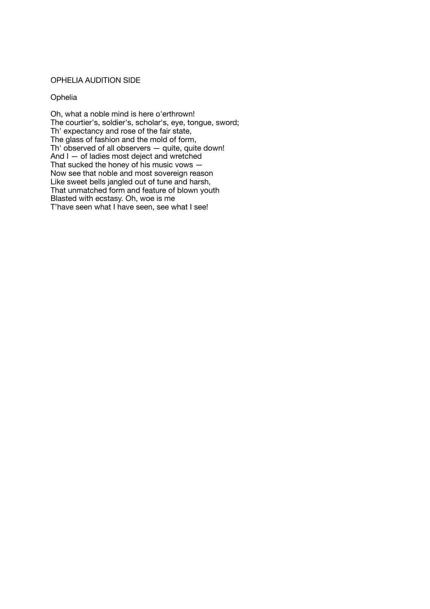# OPHELIA AUDITION SIDE

## **Ophelia**

Oh, what a noble mind is here o'erthrown! The courtier's, soldier's, scholar's, eye, tongue, sword; Th' expectancy and rose of the fair state, The glass of fashion and the mold of form, Th' observed of all observers — quite, quite down! And I — of ladies most deject and wretched That sucked the honey of his music vows — Now see that noble and most sovereign reason Like sweet bells jangled out of tune and harsh, That unmatched form and feature of blown youth Blasted with ecstasy. Oh, woe is me T'have seen what I have seen, see what I see!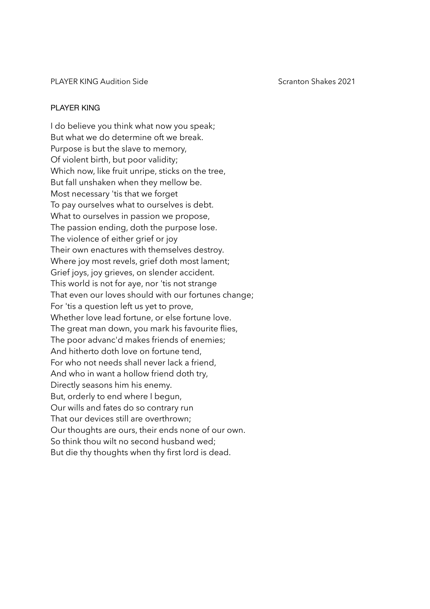PLAYER KING Audition Side Scranton Shakes 2021

# PLAYER KING

I do believe you think what now you speak; But what we do determine oft we break. Purpose is but the slave to memory, Of violent birth, but poor validity; Which now, like fruit unripe, sticks on the tree, But fall unshaken when they mellow be. Most necessary 'tis that we forget To pay ourselves what to ourselves is debt. What to ourselves in passion we propose, The passion ending, doth the purpose lose. The violence of either grief or joy Their own enactures with themselves destroy. Where joy most revels, grief doth most lament; Grief joys, joy grieves, on slender accident. This world is not for aye, nor 'tis not strange That even our loves should with our fortunes change; For 'tis a question left us yet to prove, Whether love lead fortune, or else fortune love. The great man down, you mark his favourite flies, The poor advanc'd makes friends of enemies; And hitherto doth love on fortune tend, For who not needs shall never lack a friend, And who in want a hollow friend doth try, Directly seasons him his enemy. But, orderly to end where I begun, Our wills and fates do so contrary run That our devices still are overthrown; Our thoughts are ours, their ends none of our own. So think thou wilt no second husband wed; But die thy thoughts when thy first lord is dead.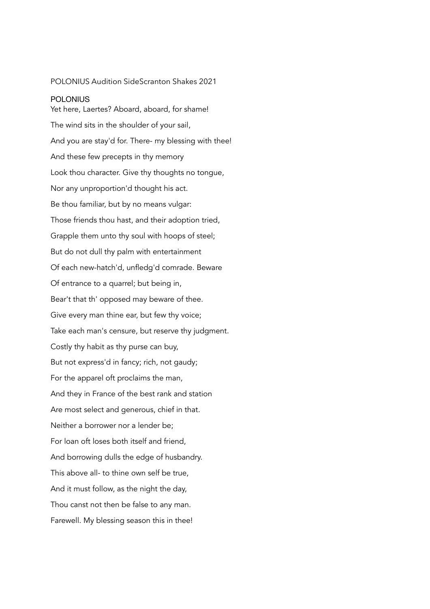# POLONIUS Audition SideScranton Shakes 2021

## **POLONIUS**

Yet here, Laertes? Aboard, aboard, for shame! The wind sits in the shoulder of your sail, And you are stay'd for. There- my blessing with thee! And these few precepts in thy memory Look thou character. Give thy thoughts no tongue, Nor any unproportion'd thought his act. Be thou familiar, but by no means vulgar: Those friends thou hast, and their adoption tried, Grapple them unto thy soul with hoops of steel; But do not dull thy palm with entertainment Of each new-hatch'd, unfledg'd comrade. Beware Of entrance to a quarrel; but being in, Bear't that th' opposed may beware of thee. Give every man thine ear, but few thy voice; Take each man's censure, but reserve thy judgment. Costly thy habit as thy purse can buy, But not express'd in fancy; rich, not gaudy; For the apparel oft proclaims the man, And they in France of the best rank and station Are most select and generous, chief in that. Neither a borrower nor a lender be; For loan oft loses both itself and friend, And borrowing dulls the edge of husbandry. This above all- to thine own self be true, And it must follow, as the night the day, Thou canst not then be false to any man. Farewell. My blessing season this in thee!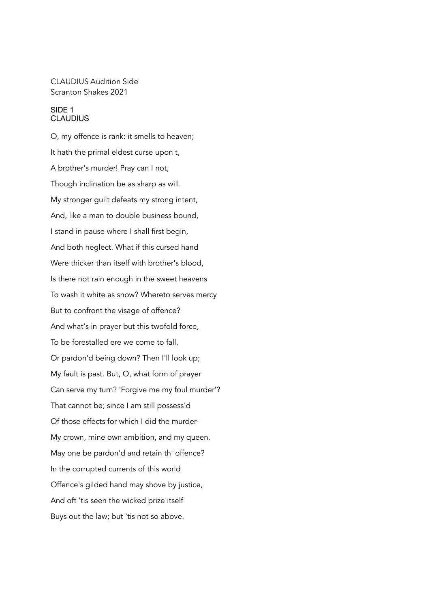# CLAUDIUS Audition Side Scranton Shakes 2021

## SIDE 1 **CLAUDIUS**

O, my offence is rank: it smells to heaven; It hath the primal eldest curse upon't, A brother's murder! Pray can I not, Though inclination be as sharp as will. My stronger guilt defeats my strong intent, And, like a man to double business bound, I stand in pause where I shall first begin, And both neglect. What if this cursed hand Were thicker than itself with brother's blood, Is there not rain enough in the sweet heavens To wash it white as snow? Whereto serves mercy But to confront the visage of offence? And what's in prayer but this twofold force, To be forestalled ere we come to fall, Or pardon'd being down? Then I'll look up; My fault is past. But, O, what form of prayer Can serve my turn? 'Forgive me my foul murder'? That cannot be; since I am still possess'd Of those effects for which I did the murder-My crown, mine own ambition, and my queen. May one be pardon'd and retain th' offence? In the corrupted currents of this world Offence's gilded hand may shove by justice, And oft 'tis seen the wicked prize itself Buys out the law; but 'tis not so above.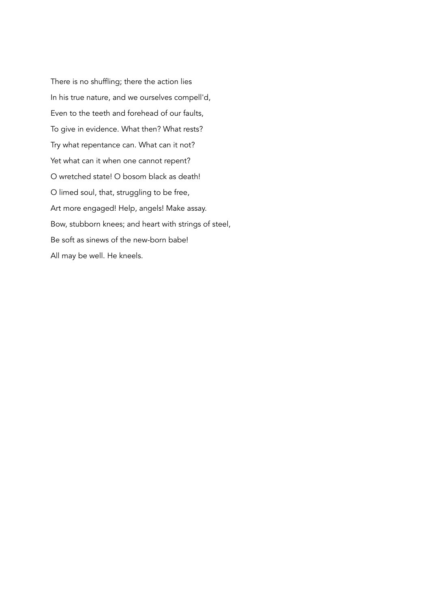There is no shuffling; there the action lies In his true nature, and we ourselves compell'd, Even to the teeth and forehead of our faults, To give in evidence. What then? What rests? Try what repentance can. What can it not? Yet what can it when one cannot repent? O wretched state! O bosom black as death! O limed soul, that, struggling to be free, Art more engaged! Help, angels! Make assay. Bow, stubborn knees; and heart with strings of steel, Be soft as sinews of the new-born babe! All may be well. He kneels.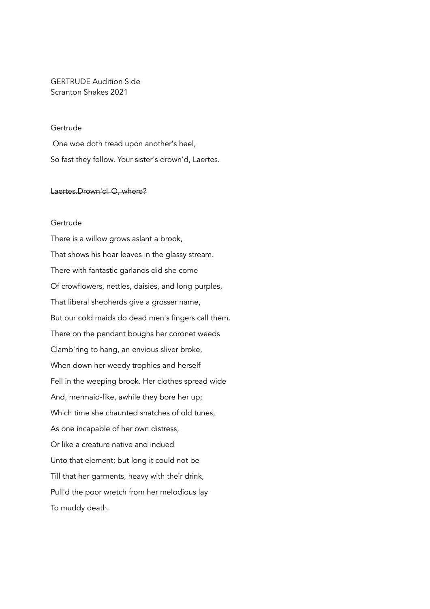# GERTRUDE Audition Side Scranton Shakes 2021

# Gertrude

One woe doth tread upon another's heel, So fast they follow. Your sister's drown'd, Laertes.

## Laertes.Drown'd! O, where?

# Gertrude

There is a willow grows aslant a brook, That shows his hoar leaves in the glassy stream. There with fantastic garlands did she come Of crowflowers, nettles, daisies, and long purples, That liberal shepherds give a grosser name, But our cold maids do dead men's fingers call them. There on the pendant boughs her coronet weeds Clamb'ring to hang, an envious sliver broke, When down her weedy trophies and herself Fell in the weeping brook. Her clothes spread wide And, mermaid-like, awhile they bore her up; Which time she chaunted snatches of old tunes, As one incapable of her own distress, Or like a creature native and indued Unto that element; but long it could not be Till that her garments, heavy with their drink, Pull'd the poor wretch from her melodious lay To muddy death.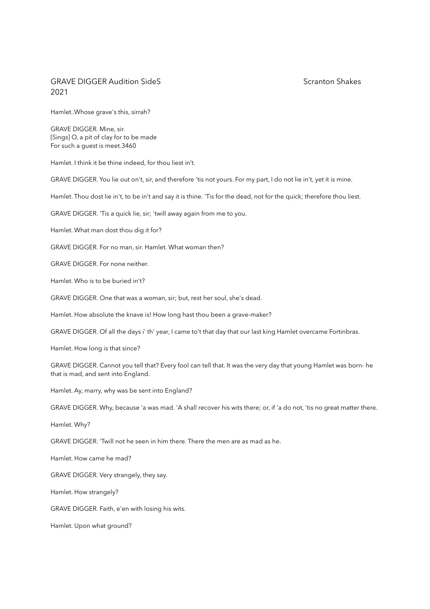# GRAVE DIGGER Audition SideS SCRANT CONSERVERS AND SCRATTED SCRATTED STATES SCRANE SCRANE SHAKES 2021

Hamlet..Whose grave's this, sirrah?

GRAVE DIGGER. Mine, sir. [Sings] O, a pit of clay for to be made For such a guest is meet.3460

Hamlet. I think it be thine indeed, for thou liest in't.

GRAVE DIGGER. You lie out on't, sir, and therefore 'tis not yours. For my part, I do not lie in't, yet it is mine.

Hamlet. Thou dost lie in't, to be in't and say it is thine. 'Tis for the dead, not for the quick; therefore thou liest.

GRAVE DIGGER. 'Tis a quick lie, sir; 'twill away again from me to you.

Hamlet. What man dost thou dig it for?

GRAVE DIGGER. For no man, sir. Hamlet. What woman then?

GRAVE DIGGER. For none neither.

Hamlet. Who is to be buried in't?

GRAVE DIGGER. One that was a woman, sir; but, rest her soul, she's dead.

Hamlet. How absolute the knave is! How long hast thou been a grave-maker?

GRAVE DIGGER. Of all the days i' th' year, I came to't that day that our last king Hamlet overcame Fortinbras.

Hamlet. How long is that since?

GRAVE DIGGER. Cannot you tell that? Every fool can tell that. It was the very day that young Hamlet was born- he that is mad, and sent into England.

Hamlet. Ay, marry, why was be sent into England?

GRAVE DIGGER. Why, because 'a was mad. 'A shall recover his wits there; or, if 'a do not, 'tis no great matter there.

Hamlet. Why?

GRAVE DIGGER. 'Twill not he seen in him there. There the men are as mad as he.

Hamlet. How came he mad?

GRAVE DIGGER. Very strangely, they say.

Hamlet. How strangely?

GRAVE DIGGER. Faith, e'en with losing his wits.

Hamlet. Upon what ground?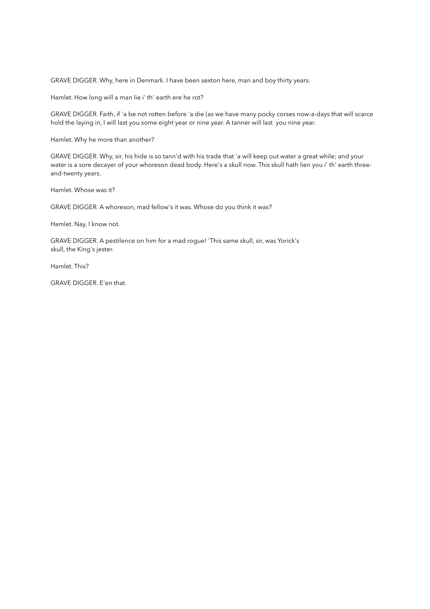GRAVE DIGGER. Why, here in Denmark. I have been sexton here, man and boy thirty years.

Hamlet. How long will a man lie i' th' earth ere he rot?

GRAVE DIGGER. Faith, if 'a be not rotten before 'a die (as we have many pocky corses now-a-days that will scarce hold the laying in, I will last you some eight year or nine year. A tanner will last you nine year.

Hamlet. Why he more than another?

GRAVE DIGGER. Why, sir, his hide is so tann'd with his trade that 'a will keep out water a great while; and your water is a sore decayer of your whoreson dead body. Here's a skull now. This skull hath lien you i' th' earth threeand-twenty years.

Hamlet. Whose was it?

GRAVE DIGGER. A whoreson, mad fellow's it was. Whose do you think it was?

Hamlet. Nay, I know not.

GRAVE DIGGER. A pestilence on him for a mad rogue! 'This same skull, sir, was Yorick's skull, the King's jester.

Hamlet. This?

GRAVE DIGGER. E'en that.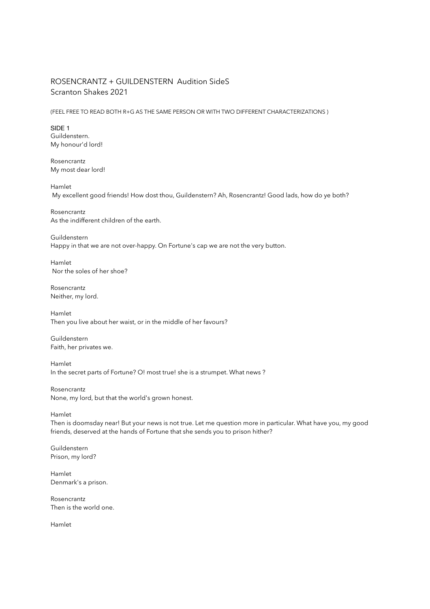# ROSENCRANTZ + GUILDENSTERN Audition SideS Scranton Shakes 2021

(FEEL FREE TO READ BOTH R+G AS THE SAME PERSON OR WITH TWO DIFFERENT CHARACTERIZATIONS )

SIDE 1 Guildenstern. My honour'd lord!

Rosencrantz My most dear lord!

Hamlet My excellent good friends! How dost thou, Guildenstern? Ah, Rosencrantz! Good lads, how do ye both?

Rosencrantz As the indifferent children of the earth.

Guildenstern Happy in that we are not over-happy. On Fortune's cap we are not the very button.

Hamlet Nor the soles of her shoe?

Rosencrantz Neither, my lord.

Hamlet Then you live about her waist, or in the middle of her favours?

Guildenstern Faith, her privates we.

Hamlet In the secret parts of Fortune? O! most true! she is a strumpet. What news ?

Rosencrantz None, my lord, but that the world's grown honest.

Hamlet

Then is doomsday near! But your news is not true. Let me question more in particular. What have you, my good friends, deserved at the hands of Fortune that she sends you to prison hither?

Guildenstern Prison, my lord?

Hamlet Denmark's a prison.

Rosencrantz Then is the world one.

Hamlet